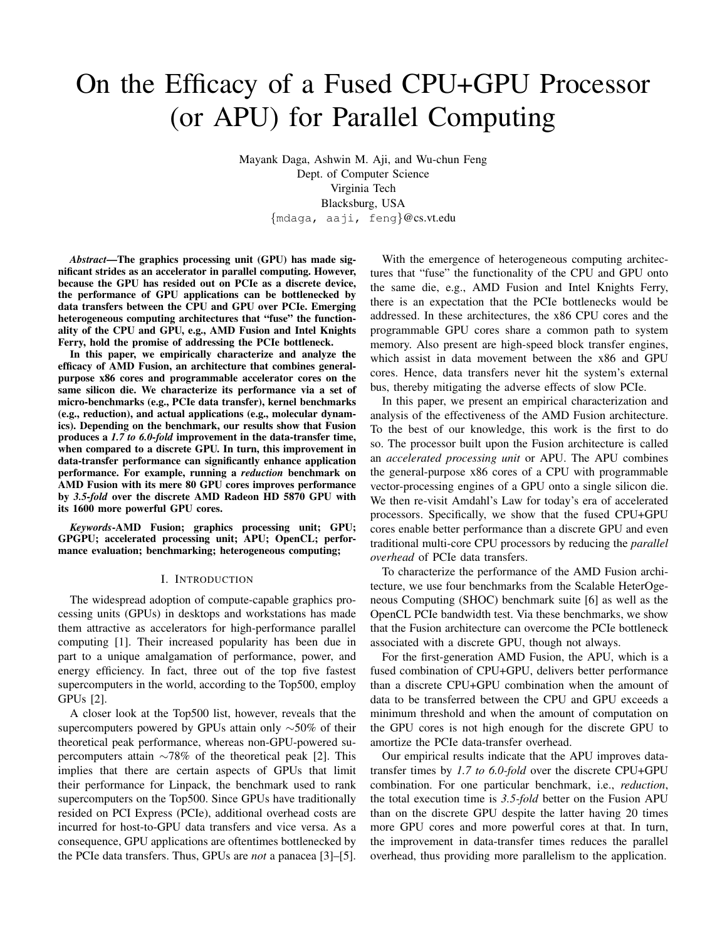# On the Efficacy of a Fused CPU+GPU Processor (or APU) for Parallel Computing

Mayank Daga, Ashwin M. Aji, and Wu-chun Feng Dept. of Computer Science Virginia Tech Blacksburg, USA {mdaga, aaji, feng}@cs.vt.edu

*Abstract*—The graphics processing unit (GPU) has made significant strides as an accelerator in parallel computing. However, because the GPU has resided out on PCIe as a discrete device, the performance of GPU applications can be bottlenecked by data transfers between the CPU and GPU over PCIe. Emerging heterogeneous computing architectures that "fuse" the functionality of the CPU and GPU, e.g., AMD Fusion and Intel Knights Ferry, hold the promise of addressing the PCIe bottleneck.

In this paper, we empirically characterize and analyze the efficacy of AMD Fusion, an architecture that combines generalpurpose x86 cores and programmable accelerator cores on the same silicon die. We characterize its performance via a set of micro-benchmarks (e.g., PCIe data transfer), kernel benchmarks (e.g., reduction), and actual applications (e.g., molecular dynamics). Depending on the benchmark, our results show that Fusion produces a *1.7 to 6.0-fold* improvement in the data-transfer time, when compared to a discrete GPU. In turn, this improvement in data-transfer performance can significantly enhance application performance. For example, running a *reduction* benchmark on AMD Fusion with its mere 80 GPU cores improves performance by *3.5-fold* over the discrete AMD Radeon HD 5870 GPU with its 1600 more powerful GPU cores.

*Keywords*-AMD Fusion; graphics processing unit; GPU; GPGPU; accelerated processing unit; APU; OpenCL; performance evaluation; benchmarking; heterogeneous computing;

#### I. INTRODUCTION

The widespread adoption of compute-capable graphics processing units (GPUs) in desktops and workstations has made them attractive as accelerators for high-performance parallel computing [1]. Their increased popularity has been due in part to a unique amalgamation of performance, power, and energy efficiency. In fact, three out of the top five fastest supercomputers in the world, according to the Top500, employ GPUs [2].

A closer look at the Top500 list, however, reveals that the supercomputers powered by GPUs attain only ∼50% of their theoretical peak performance, whereas non-GPU-powered supercomputers attain ∼78% of the theoretical peak [2]. This implies that there are certain aspects of GPUs that limit their performance for Linpack, the benchmark used to rank supercomputers on the Top500. Since GPUs have traditionally resided on PCI Express (PCIe), additional overhead costs are incurred for host-to-GPU data transfers and vice versa. As a consequence, GPU applications are oftentimes bottlenecked by the PCIe data transfers. Thus, GPUs are *not* a panacea [3]–[5].

With the emergence of heterogeneous computing architectures that "fuse" the functionality of the CPU and GPU onto the same die, e.g., AMD Fusion and Intel Knights Ferry, there is an expectation that the PCIe bottlenecks would be addressed. In these architectures, the x86 CPU cores and the programmable GPU cores share a common path to system memory. Also present are high-speed block transfer engines, which assist in data movement between the x86 and GPU cores. Hence, data transfers never hit the system's external bus, thereby mitigating the adverse effects of slow PCIe.

In this paper, we present an empirical characterization and analysis of the effectiveness of the AMD Fusion architecture. To the best of our knowledge, this work is the first to do so. The processor built upon the Fusion architecture is called an *accelerated processing unit* or APU. The APU combines the general-purpose x86 cores of a CPU with programmable vector-processing engines of a GPU onto a single silicon die. We then re-visit Amdahl's Law for today's era of accelerated processors. Specifically, we show that the fused CPU+GPU cores enable better performance than a discrete GPU and even traditional multi-core CPU processors by reducing the *parallel overhead* of PCIe data transfers.

To characterize the performance of the AMD Fusion architecture, we use four benchmarks from the Scalable HeterOgeneous Computing (SHOC) benchmark suite [6] as well as the OpenCL PCIe bandwidth test. Via these benchmarks, we show that the Fusion architecture can overcome the PCIe bottleneck associated with a discrete GPU, though not always.

For the first-generation AMD Fusion, the APU, which is a fused combination of CPU+GPU, delivers better performance than a discrete CPU+GPU combination when the amount of data to be transferred between the CPU and GPU exceeds a minimum threshold and when the amount of computation on the GPU cores is not high enough for the discrete GPU to amortize the PCIe data-transfer overhead.

Our empirical results indicate that the APU improves datatransfer times by *1.7 to 6.0-fold* over the discrete CPU+GPU combination. For one particular benchmark, i.e., *reduction*, the total execution time is *3.5-fold* better on the Fusion APU than on the discrete GPU despite the latter having 20 times more GPU cores and more powerful cores at that. In turn, the improvement in data-transfer times reduces the parallel overhead, thus providing more parallelism to the application.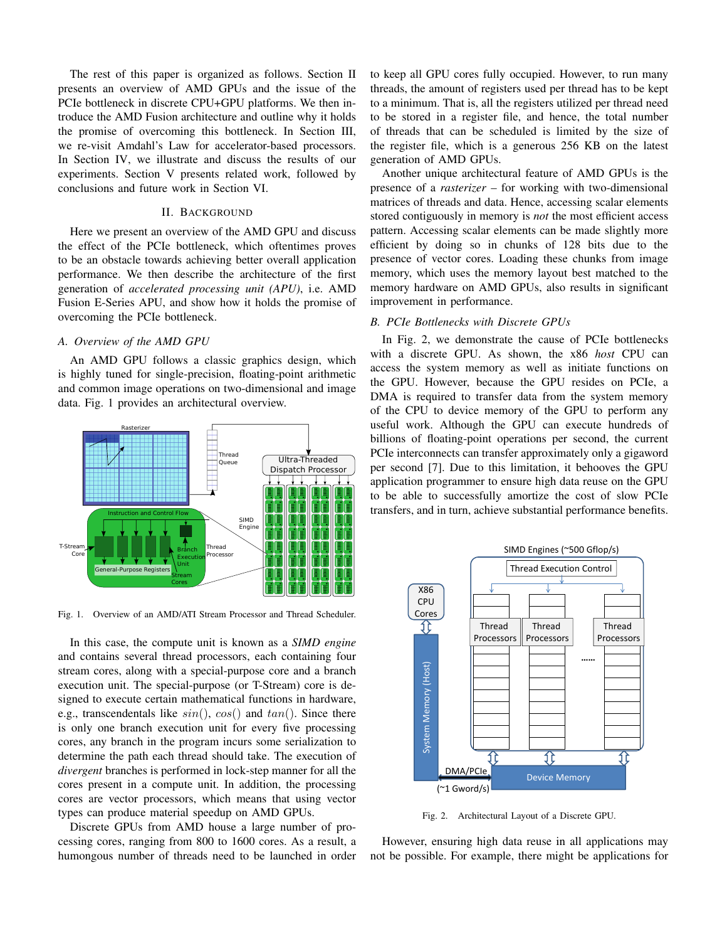The rest of this paper is organized as follows. Section II presents an overview of AMD GPUs and the issue of the PCIe bottleneck in discrete CPU+GPU platforms. We then introduce the AMD Fusion architecture and outline why it holds the promise of overcoming this bottleneck. In Section III, we re-visit Amdahl's Law for accelerator-based processors. In Section IV, we illustrate and discuss the results of our experiments. Section V presents related work, followed by conclusions and future work in Section VI.

#### II. BACKGROUND

Here we present an overview of the AMD GPU and discuss the effect of the PCIe bottleneck, which oftentimes proves to be an obstacle towards achieving better overall application performance. We then describe the architecture of the first generation of *accelerated processing unit (APU)*, i.e. AMD Fusion E-Series APU, and show how it holds the promise of overcoming the PCIe bottleneck.

## *A. Overview of the AMD GPU*

An AMD GPU follows a classic graphics design, which is highly tuned for single-precision, floating-point arithmetic and common image operations on two-dimensional and image data. Fig. 1 provides an architectural overview.



Fig. 1. Overview of an AMD/ATI Stream Processor and Thread Scheduler.

In this case, the compute unit is known as a *SIMD engine* and contains several thread processors, each containing four stream cores, along with a special-purpose core and a branch execution unit. The special-purpose (or T-Stream) core is designed to execute certain mathematical functions in hardware, e.g., transcendentals like  $sin(), cos()$  and  $tan()$ . Since there is only one branch execution unit for every five processing cores, any branch in the program incurs some serialization to determine the path each thread should take. The execution of *divergent* branches is performed in lock-step manner for all the cores present in a compute unit. In addition, the processing cores are vector processors, which means that using vector types can produce material speedup on AMD GPUs.

Discrete GPUs from AMD house a large number of processing cores, ranging from 800 to 1600 cores. As a result, a humongous number of threads need to be launched in order to keep all GPU cores fully occupied. However, to run many threads, the amount of registers used per thread has to be kept to a minimum. That is, all the registers utilized per thread need to be stored in a register file, and hence, the total number of threads that can be scheduled is limited by the size of the register file, which is a generous 256 KB on the latest generation of AMD GPUs.

Another unique architectural feature of AMD GPUs is the presence of a *rasterizer* – for working with two-dimensional matrices of threads and data. Hence, accessing scalar elements stored contiguously in memory is *not* the most efficient access pattern. Accessing scalar elements can be made slightly more efficient by doing so in chunks of 128 bits due to the presence of vector cores. Loading these chunks from image memory, which uses the memory layout best matched to the memory hardware on AMD GPUs, also results in significant improvement in performance.

#### *B. PCIe Bottlenecks with Discrete GPUs*

In Fig. 2, we demonstrate the cause of PCIe bottlenecks with a discrete GPU. As shown, the x86 *host* CPU can access the system memory as well as initiate functions on the GPU. However, because the GPU resides on PCIe, a DMA is required to transfer data from the system memory of the CPU to device memory of the GPU to perform any useful work. Although the GPU can execute hundreds of billions of floating-point operations per second, the current PCIe interconnects can transfer approximately only a gigaword per second [7]. Due to this limitation, it behooves the GPU application programmer to ensure high data reuse on the GPU to be able to successfully amortize the cost of slow PCIe transfers, and in turn, achieve substantial performance benefits.



Fig. 2. Architectural Layout of a Discrete GPU.

However, ensuring high data reuse in all applications may not be possible. For example, there might be applications for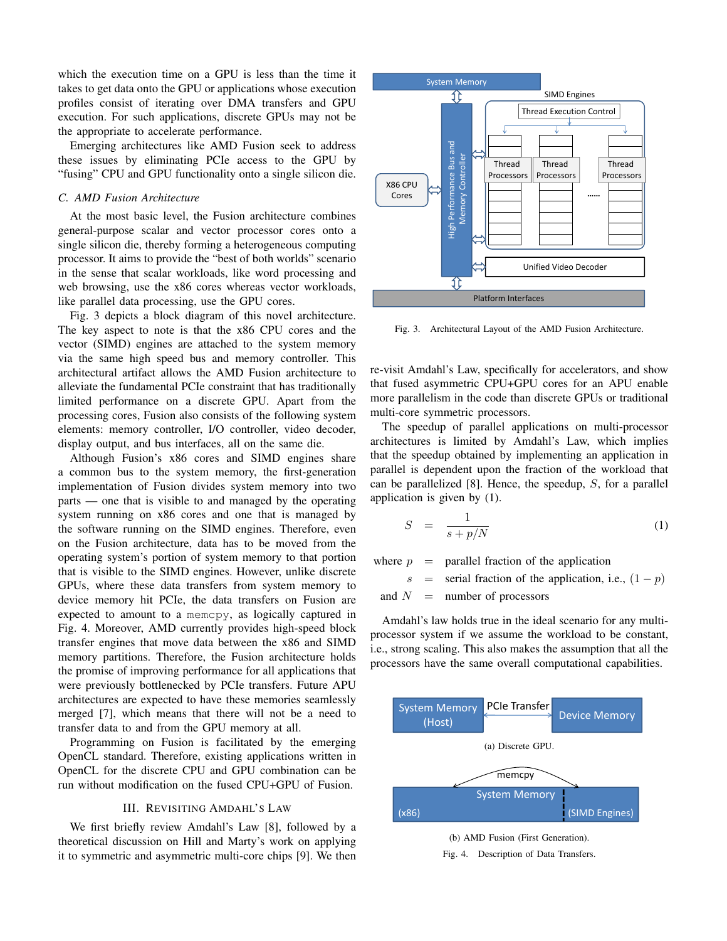which the execution time on a GPU is less than the time it takes to get data onto the GPU or applications whose execution profiles consist of iterating over DMA transfers and GPU execution. For such applications, discrete GPUs may not be the appropriate to accelerate performance.

Emerging architectures like AMD Fusion seek to address these issues by eliminating PCIe access to the GPU by "fusing" CPU and GPU functionality onto a single silicon die.

## *C. AMD Fusion Architecture*

At the most basic level, the Fusion architecture combines general-purpose scalar and vector processor cores onto a single silicon die, thereby forming a heterogeneous computing processor. It aims to provide the "best of both worlds" scenario in the sense that scalar workloads, like word processing and web browsing, use the x86 cores whereas vector workloads, like parallel data processing, use the GPU cores.

Fig. 3 depicts a block diagram of this novel architecture. The key aspect to note is that the x86 CPU cores and the vector (SIMD) engines are attached to the system memory via the same high speed bus and memory controller. This architectural artifact allows the AMD Fusion architecture to alleviate the fundamental PCIe constraint that has traditionally limited performance on a discrete GPU. Apart from the processing cores, Fusion also consists of the following system elements: memory controller, I/O controller, video decoder, display output, and bus interfaces, all on the same die.

Although Fusion's x86 cores and SIMD engines share a common bus to the system memory, the first-generation implementation of Fusion divides system memory into two parts — one that is visible to and managed by the operating system running on x86 cores and one that is managed by the software running on the SIMD engines. Therefore, even on the Fusion architecture, data has to be moved from the operating system's portion of system memory to that portion that is visible to the SIMD engines. However, unlike discrete GPUs, where these data transfers from system memory to device memory hit PCIe, the data transfers on Fusion are expected to amount to a memcpy, as logically captured in Fig. 4. Moreover, AMD currently provides high-speed block transfer engines that move data between the x86 and SIMD memory partitions. Therefore, the Fusion architecture holds the promise of improving performance for all applications that were previously bottlenecked by PCIe transfers. Future APU architectures are expected to have these memories seamlessly merged [7], which means that there will not be a need to transfer data to and from the GPU memory at all. multi-core (SMD) respectively. The symptoms and the core of the symptoms in the chips (1) and the symptoms in the symptoms in the symptoms in the symptoms of the symptoms in the symptoms in the symptoms in the symptoms in

Programming on Fusion is facilitated by the emerging OpenCL standard. Therefore, existing applications written in OpenCL for the discrete CPU and GPU combination can be run without modification on the fused CPU+GPU of Fusion.

## III. REVISITING AMDAHL'S LAW

We first briefly review Amdahl's Law [8], followed by a theoretical discussion on Hill and Marty's work on applying



Fig. 3. Architectural Layout of the AMD Fusion Architecture.

re-visit Amdahl's Law, specifically for accelerators, and show that fused asymmetric CPU+GPU cores for an APU enable more parallelism in the code than discrete GPUs or traditional multi-core symmetric processors.

The speedup of parallel applications on multi-processor architectures is limited by Amdahl's Law, which implies that the speedup obtained by implementing an application in parallel is dependent upon the fraction of the workload that can be parallelized  $[8]$ . Hence, the speedup,  $S$ , for a parallel application is given by (1).

$$
S = \frac{1}{s + p/N} \tag{1}
$$

where  $p =$  parallel fraction of the application

s = serial fraction of the application, i.e.,  $(1 - p)$ 

and  $N =$  number of processors

Amdahl's law holds true in the ideal scenario for any multiprocessor system if we assume the workload to be constant, i.e., strong scaling. This also makes the assumption that all the processors have the same overall computational capabilities.



(b) AMD Fusion (First Generation).

Fig. 4. Description of Data Transfers.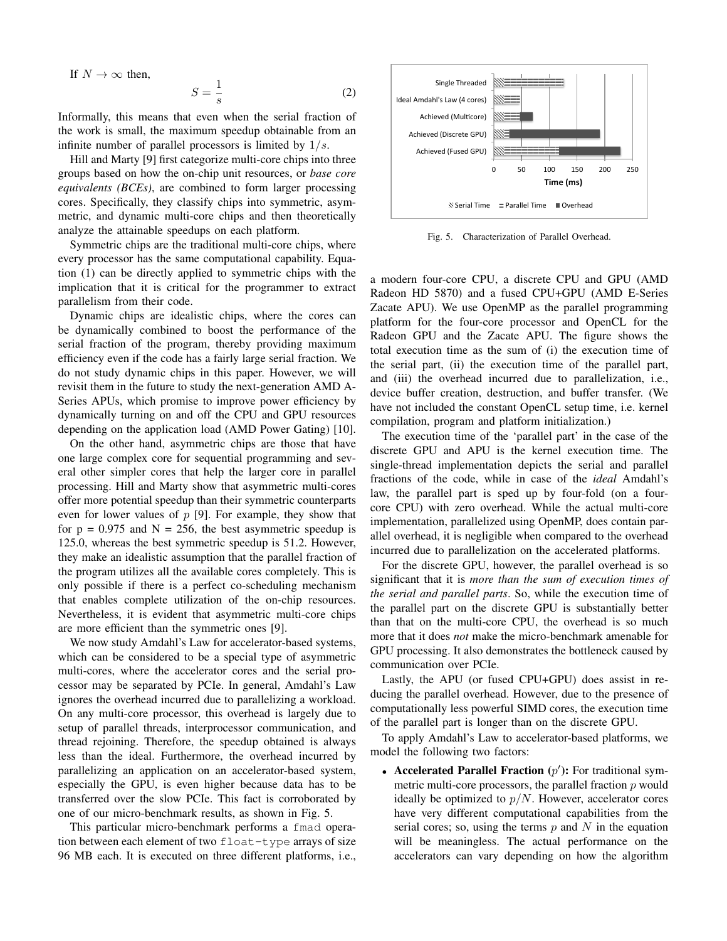If  $N \to \infty$  then,

$$
S = \frac{1}{s} \tag{2}
$$

Informally, this means that even when the serial fraction of the work is small, the maximum speedup obtainable from an infinite number of parallel processors is limited by  $1/s$ .

Hill and Marty [9] first categorize multi-core chips into three groups based on how the on-chip unit resources, or *base core equivalents (BCEs)*, are combined to form larger processing cores. Specifically, they classify chips into symmetric, asymmetric, and dynamic multi-core chips and then theoretically analyze the attainable speedups on each platform.

Symmetric chips are the traditional multi-core chips, where every processor has the same computational capability. Equation (1) can be directly applied to symmetric chips with the implication that it is critical for the programmer to extract parallelism from their code.

Dynamic chips are idealistic chips, where the cores can be dynamically combined to boost the performance of the serial fraction of the program, thereby providing maximum efficiency even if the code has a fairly large serial fraction. We do not study dynamic chips in this paper. However, we will revisit them in the future to study the next-generation AMD A-Series APUs, which promise to improve power efficiency by dynamically turning on and off the CPU and GPU resources depending on the application load (AMD Power Gating) [10].

On the other hand, asymmetric chips are those that have one large complex core for sequential programming and several other simpler cores that help the larger core in parallel processing. Hill and Marty show that asymmetric multi-cores offer more potential speedup than their symmetric counterparts even for lower values of  $p$  [9]. For example, they show that for  $p = 0.975$  and  $N = 256$ , the best asymmetric speedup is 125.0, whereas the best symmetric speedup is 51.2. However, they make an idealistic assumption that the parallel fraction of the program utilizes all the available cores completely. This is only possible if there is a perfect co-scheduling mechanism that enables complete utilization of the on-chip resources. Nevertheless, it is evident that asymmetric multi-core chips are more efficient than the symmetric ones [9]. groups based in booth length and the product in the same of the same of the same in the same in the same in the same in the same in the same in the same in the same in the same in the same in the same in the same in the s

We now study Amdahl's Law for accelerator-based systems, which can be considered to be a special type of asymmetric multi-cores, where the accelerator cores and the serial processor may be separated by PCIe. In general, Amdahl's Law ignores the overhead incurred due to parallelizing a workload. On any multi-core processor, this overhead is largely due to setup of parallel threads, interprocessor communication, and thread rejoining. Therefore, the speedup obtained is always less than the ideal. Furthermore, the overhead incurred by parallelizing an application on an accelerator-based system, especially the GPU, is even higher because data has to be transferred over the slow PCIe. This fact is corroborated by one of our micro-benchmark results, as shown in Fig. 5.

This particular micro-benchmark performs a fmad operation between each element of two float-type arrays of size



Fig. 5. Characterization of Parallel Overhead.

a modern four-core CPU, a discrete CPU and GPU (AMD Radeon HD 5870) and a fused CPU+GPU (AMD E-Series Zacate APU). We use OpenMP as the parallel programming platform for the four-core processor and OpenCL for the Radeon GPU and the Zacate APU. The figure shows the total execution time as the sum of (i) the execution time of the serial part, (ii) the execution time of the parallel part, and (iii) the overhead incurred due to parallelization, i.e., device buffer creation, destruction, and buffer transfer. (We have not included the constant OpenCL setup time, i.e. kernel compilation, program and platform initialization.)

The execution time of the 'parallel part' in the case of the discrete GPU and APU is the kernel execution time. The single-thread implementation depicts the serial and parallel fractions of the code, while in case of the *ideal* Amdahl's law, the parallel part is sped up by four-fold (on a fourcore CPU) with zero overhead. While the actual multi-core implementation, parallelized using OpenMP, does contain parallel overhead, it is negligible when compared to the overhead incurred due to parallelization on the accelerated platforms.

For the discrete GPU, however, the parallel overhead is so significant that it is *more than the sum of execution times of the serial and parallel parts*. So, while the execution time of the parallel part on the discrete GPU is substantially better than that on the multi-core CPU, the overhead is so much more that it does *not* make the micro-benchmark amenable for GPU processing. It also demonstrates the bottleneck caused by communication over PCIe.

Lastly, the APU (or fused CPU+GPU) does assist in reducing the parallel overhead. However, due to the presence of computationally less powerful SIMD cores, the execution time of the parallel part is longer than on the discrete GPU.

To apply Amdahl's Law to accelerator-based platforms, we model the following two factors:

• Accelerated Parallel Fraction  $(p')$ : For traditional symmetric multi-core processors, the parallel fraction  $p$  would ideally be optimized to  $p/N$ . However, accelerator cores have very different computational capabilities from the serial cores; so, using the terms  $p$  and  $N$  in the equation will be meaningless. The actual performance on the accelerators can vary depending on how the algorithm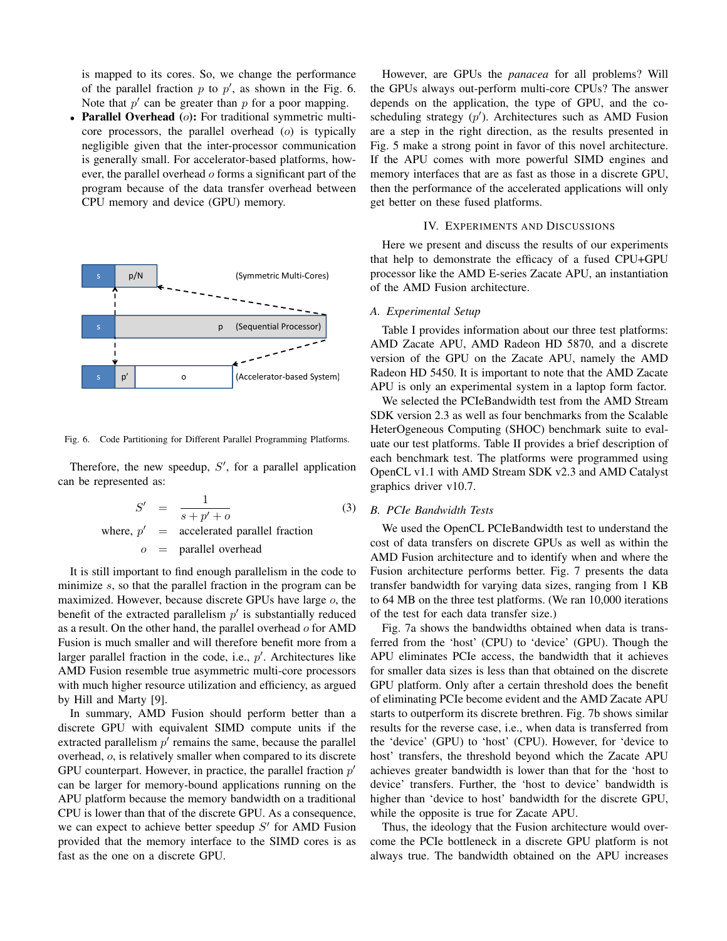is mapped to its cores. So, we change the performance of the parallel fraction  $p$  to  $p'$ , as shown in the Fig. 6. Note that  $p'$  can be greater than  $p$  for a poor mapping.

• Parallel Overhead  $(o)$ : For traditional symmetric multicore processors, the parallel overhead (o) is typically negligible given that the inter-processor communication is generally small. For accelerator-based platforms, however, the parallel overhead  $\sigma$  forms a significant part of the program because of the data transfer overhead between CPU memory and device (GPU) memory.



Fig. 6. Code Partitioning for Different Parallel Programming Platforms.

Therefore, the new speedup,  $S'$ , for a parallel application can be represented as:

$$
S' = \frac{1}{s + p' + o}
$$
 (3)  
where,  $p'$  = accelerated parallel fraction  
 $o$  = parallel overhead

It is still important to find enough parallelism in the code to minimize s, so that the parallel fraction in the program can be maximized. However, because discrete GPUs have large o, the benefit of the extracted parallelism  $p'$  is substantially reduced as a result. On the other hand, the parallel overhead  $\sigma$  for AMD Fusion is much smaller and will therefore benefit more from a larger parallel fraction in the code, i.e.,  $p'$ . Architectures like AMD Fusion resemble true asymmetric multi-core processors with much higher resource utilization and efficiency, as argued by Hill and Marty [9].

In summary, AMD Fusion should perform better than a discrete GPU with equivalent SIMD compute units if the extracted parallelism  $p'$  remains the same, because the parallel overhead, o, is relatively smaller when compared to its discrete GPU counterpart. However, in practice, the parallel fraction  $p'$ can be larger for memory-bound applications running on the APU platform because the memory bandwidth on a traditional CPU is lower than that of the discrete GPU. As a consequence, we can expect to achieve better speedup  $S'$  for AMD Fusion provided that the memory interface to the SIMD cores is as fast as the one on a discrete GPU.

However, are GPUs the *panacea* for all problems? Will the GPUs always out-perform multi-core CPUs? The answer depends on the application, the type of GPU, and the coscheduling strategy  $(p')$ . Architectures such as AMD Fusion are a step in the right direction, as the results presented in Fig. 5 make a strong point in favor of this novel architecture. If the APU comes with more powerful SIMD engines and memory interfaces that are as fast as those in a discrete GPU, then the performance of the accelerated applications will only get better on these fused platforms.

#### IV. EXPERIMENTS AND DISCUSSIONS

Here we present and discuss the results of our experiments that help to demonstrate the efficacy of a fused CPU+GPU processor like the AMD E-series Zacate APU, an instantiation of the AMD Fusion architecture.

## *A. Experimental Setup*

Table I provides information about our three test platforms: AMD Zacate APU, AMD Radeon HD 5870, and a discrete version of the GPU on the Zacate APU, namely the AMD Radeon HD 5450. It is important to note that the AMD Zacate APU is only an experimental system in a laptop form factor.

We selected the PCIeBandwidth test from the AMD Stream SDK version 2.3 as well as four benchmarks from the Scalable HeterOgeneous Computing (SHOC) benchmark suite to evaluate our test platforms. Table II provides a brief description of each benchmark test. The platforms were programmed using OpenCL v1.1 with AMD Stream SDK v2.3 and AMD Catalyst graphics driver v10.7.

## *B. PCIe Bandwidth Tests*

We used the OpenCL PCIeBandwidth test to understand the cost of data transfers on discrete GPUs as well as within the AMD Fusion architecture and to identify when and where the Fusion architecture performs better. Fig. 7 presents the data transfer bandwidth for varying data sizes, ranging from 1 KB to 64 MB on the three test platforms. (We ran 10,000 iterations of the test for each data transfer size.)

Fig. 7a shows the bandwidths obtained when data is transferred from the 'host' (CPU) to 'device' (GPU). Though the APU eliminates PCIe access, the bandwidth that it achieves for smaller data sizes is less than that obtained on the discrete GPU platform. Only after a certain threshold does the benefit of eliminating PCIe become evident and the AMD Zacate APU starts to outperform its discrete brethren. Fig. 7b shows similar results for the reverse case, i.e., when data is transferred from the 'device' (GPU) to 'host' (CPU). However, for 'device to host' transfers, the threshold beyond which the Zacate APU achieves greater bandwidth is lower than that for the 'host to device' transfers. Further, the 'host to device' bandwidth is higher than 'device to host' bandwidth for the discrete GPU, while the opposite is true for Zacate APU.

Thus, the ideology that the Fusion architecture would overcome the PCIe bottleneck in a discrete GPU platform is not always true. The bandwidth obtained on the APU increases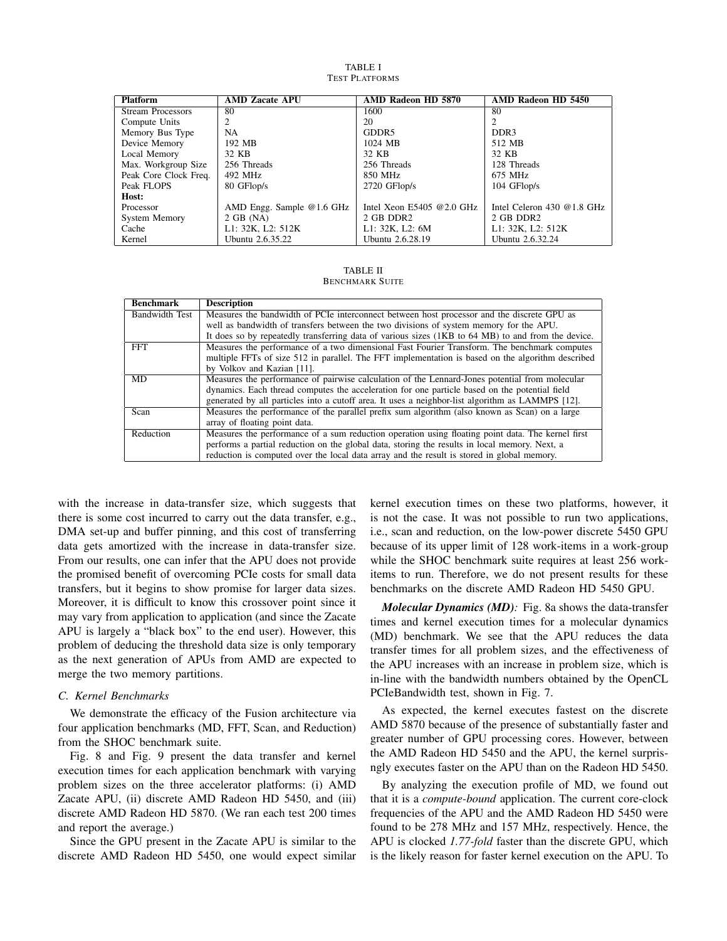| <b>Platform</b>          | <b>AMD Zacate APU</b>       | <b>AMD Radeon HD 5870</b> | <b>AMD Radeon HD 5450</b>               |
|--------------------------|-----------------------------|---------------------------|-----------------------------------------|
| <b>Stream Processors</b> | 80                          | 1600                      | 80                                      |
| Compute Units            | 2                           | 20                        | 2                                       |
| Memory Bus Type          | NA                          | GDDR <sub>5</sub>         | DDR3                                    |
| Device Memory            | 192 MB                      | 1024 MB                   | 512 MB                                  |
| Local Memory             | 32 KB                       | 32 KB                     | 32 KB                                   |
| Max. Workgroup Size      | 256 Threads                 | 256 Threads               | 128 Threads                             |
| Peak Core Clock Freq.    | 492 MHz                     | 850 MHz                   | 675 MHz                                 |
| Peak FLOPS               | 80 GFlop/s                  | 2720 GFlop/s              | 104 GFlop/s                             |
| Host:                    |                             |                           |                                         |
| Processor                | AMD Engg. Sample $@1.6$ GHz | Intel Xeon E5405 @2.0 GHz | Intel Celeron $430 \ @ 1.8 \text{ GHz}$ |
| <b>System Memory</b>     | 2 GB (NA)                   | 2 GB DDR2                 | 2 GB DDR2                               |
| Cache                    | L1: 32K, L2: 512K           | L1: 32K, L2: 6M           | L1: 32K, L2: 512K                       |
| Kernel                   | Ubuntu 2.6.35.22            | Ubuntu 2.6.28.19          | Ubuntu 2.6.32.24                        |

#### TABLE I TEST PLATFORMS

#### TABLE II BENCHMARK SUITE

| <b>Benchmark</b>      | <b>Description</b>                                                                                 |
|-----------------------|----------------------------------------------------------------------------------------------------|
| <b>Bandwidth Test</b> | Measures the bandwidth of PCI einterconnect between host processor and the discrete GPU as         |
|                       | well as bandwidth of transfers between the two divisions of system memory for the APU.             |
|                       | It does so by repeatedly transferring data of various sizes (1KB to 64 MB) to and from the device. |
| <b>FFT</b>            | Measures the performance of a two dimensional Fast Fourier Transform. The benchmark computes       |
|                       | multiple FFTs of size 512 in parallel. The FFT implementation is based on the algorithm described  |
|                       | by Volkov and Kazian [11].                                                                         |
| <b>MD</b>             | Measures the performance of pairwise calculation of the Lennard-Jones potential from molecular     |
|                       | dynamics. Each thread computes the acceleration for one particle based on the potential field      |
|                       | generated by all particles into a cutoff area. It uses a neighbor-list algorithm as LAMMPS [12].   |
| Scan                  | Measures the performance of the parallel prefix sum algorithm (also known as Scan) on a large      |
|                       | array of floating point data.                                                                      |
| Reduction             | Measures the performance of a sum reduction operation using floating point data. The kernel first  |
|                       | performs a partial reduction on the global data, storing the results in local memory. Next, a      |
|                       | reduction is computed over the local data array and the result is stored in global memory.         |

with the increase in data-transfer size, which suggests that there is some cost incurred to carry out the data transfer, e.g., DMA set-up and buffer pinning, and this cost of transferring data gets amortized with the increase in data-transfer size. From our results, one can infer that the APU does not provide the promised benefit of overcoming PCIe costs for small data transfers, but it begins to show promise for larger data sizes. Moreover, it is difficult to know this crossover point since it may vary from application to application (and since the Zacate APU is largely a "black box" to the end user). However, this problem of deducing the threshold data size is only temporary as the next generation of APUs from AMD are expected to merge the two memory partitions.

#### *C. Kernel Benchmarks*

We demonstrate the efficacy of the Fusion architecture via four application benchmarks (MD, FFT, Scan, and Reduction) from the SHOC benchmark suite.

Fig. 8 and Fig. 9 present the data transfer and kernel execution times for each application benchmark with varying problem sizes on the three accelerator platforms: (i) AMD Zacate APU, (ii) discrete AMD Radeon HD 5450, and (iii) discrete AMD Radeon HD 5870. (We ran each test 200 times and report the average.)

Since the GPU present in the Zacate APU is similar to the discrete AMD Radeon HD 5450, one would expect similar kernel execution times on these two platforms, however, it is not the case. It was not possible to run two applications, i.e., scan and reduction, on the low-power discrete 5450 GPU because of its upper limit of 128 work-items in a work-group while the SHOC benchmark suite requires at least 256 workitems to run. Therefore, we do not present results for these benchmarks on the discrete AMD Radeon HD 5450 GPU.

*Molecular Dynamics (MD):* Fig. 8a shows the data-transfer times and kernel execution times for a molecular dynamics (MD) benchmark. We see that the APU reduces the data transfer times for all problem sizes, and the effectiveness of the APU increases with an increase in problem size, which is in-line with the bandwidth numbers obtained by the OpenCL PCIeBandwidth test, shown in Fig. 7.

As expected, the kernel executes fastest on the discrete AMD 5870 because of the presence of substantially faster and greater number of GPU processing cores. However, between the AMD Radeon HD 5450 and the APU, the kernel surprisngly executes faster on the APU than on the Radeon HD 5450.

By analyzing the execution profile of MD, we found out that it is a *compute-bound* application. The current core-clock frequencies of the APU and the AMD Radeon HD 5450 were found to be 278 MHz and 157 MHz, respectively. Hence, the APU is clocked *1.77-fold* faster than the discrete GPU, which is the likely reason for faster kernel execution on the APU. To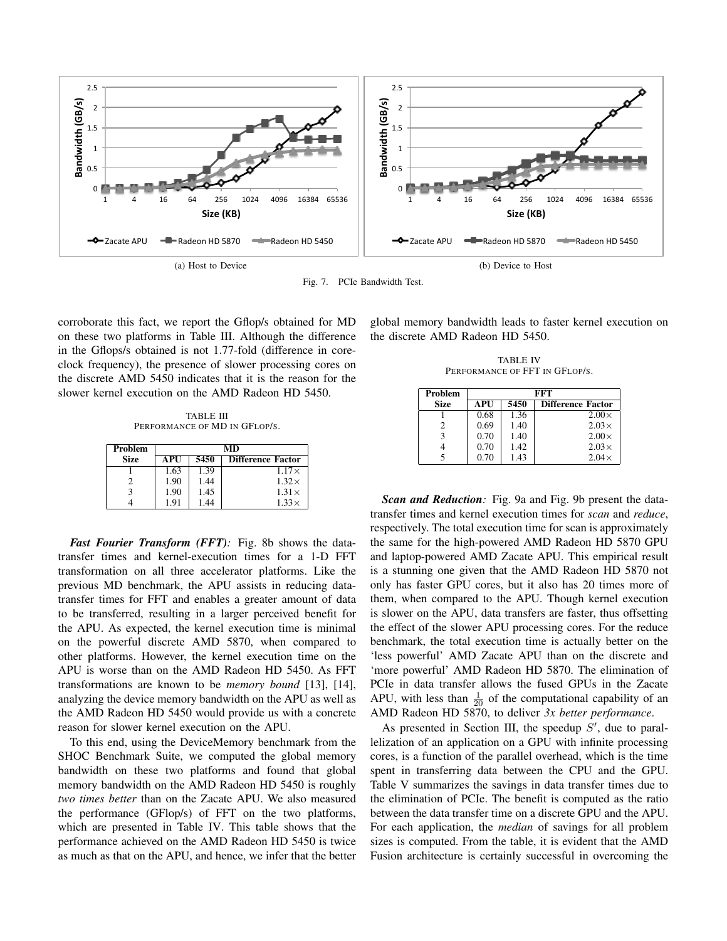

Fig. 7. PCIe Bandwidth Test.

corroborate this fact, we report the Gflop/s obtained for MD on these two platforms in Table III. Although the difference in the Gflops/s obtained is not 1.77-fold (difference in coreclock frequency), the presence of slower processing cores on the discrete AMD 5450 indicates that it is the reason for the slower kernel execution on the AMD Radeon HD 5450.

TABLE III PERFORMANCE OF MD IN GFLOP/S.

| Problem     | MD   |      |                          |
|-------------|------|------|--------------------------|
| <b>Size</b> | APU  | 5450 | <b>Difference Factor</b> |
|             | 1.63 | 1.39 | $1.17\times$             |
| 2           | 1.90 | 1.44 | $1.32\times$             |
|             | 1.90 | 1.45 | $1.31\times$             |
|             | 1.91 | 1.44 | $1.33\times$             |

*Fast Fourier Transform (FFT):* Fig. 8b shows the datatransfer times and kernel-execution times for a 1-D FFT transformation on all three accelerator platforms. Like the previous MD benchmark, the APU assists in reducing datatransfer times for FFT and enables a greater amount of data to be transferred, resulting in a larger perceived benefit for the APU. As expected, the kernel execution time is minimal on the powerful discrete AMD 5870, when compared to other platforms. However, the kernel execution time on the APU is worse than on the AMD Radeon HD 5450. As FFT transformations are known to be *memory bound* [13], [14], analyzing the device memory bandwidth on the APU as well as the AMD Radeon HD 5450 would provide us with a concrete reason for slower kernel execution on the APU.

To this end, using the DeviceMemory benchmark from the SHOC Benchmark Suite, we computed the global memory bandwidth on these two platforms and found that global memory bandwidth on the AMD Radeon HD 5450 is roughly *two times better* than on the Zacate APU. We also measured the performance (GFlop/s) of FFT on the two platforms, which are presented in Table IV. This table shows that the performance achieved on the AMD Radeon HD 5450 is twice as much as that on the APU, and hence, we infer that the better

global memory bandwidth leads to faster kernel execution on the discrete AMD Radeon HD 5450.

TABLE IV PERFORMANCE OF FFT IN GFLOP/S.

| <b>Problem</b> | FFT  |      |                          |
|----------------|------|------|--------------------------|
| <b>Size</b>    | APU  | 5450 | <b>Difference Factor</b> |
|                | 0.68 | 1.36 | $2.00\times$             |
| 2              | 0.69 | 1.40 | $2.03\times$             |
| 3              | 0.70 | 1.40 | $2.00\times$             |
|                | 0.70 | 1.42 | $2.03\times$             |
|                | 0.70 | 1.43 | $2.04\times$             |

*Scan and Reduction:* Fig. 9a and Fig. 9b present the datatransfer times and kernel execution times for *scan* and *reduce*, respectively. The total execution time for scan is approximately the same for the high-powered AMD Radeon HD 5870 GPU and laptop-powered AMD Zacate APU. This empirical result is a stunning one given that the AMD Radeon HD 5870 not only has faster GPU cores, but it also has 20 times more of them, when compared to the APU. Though kernel execution is slower on the APU, data transfers are faster, thus offsetting the effect of the slower APU processing cores. For the reduce benchmark, the total execution time is actually better on the 'less powerful' AMD Zacate APU than on the discrete and 'more powerful' AMD Radeon HD 5870. The elimination of PCIe in data transfer allows the fused GPUs in the Zacate APU, with less than  $\frac{1}{20}$  of the computational capability of an AMD Radeon HD 5870, to deliver *3x better performance*.

As presented in Section III, the speedup  $S'$ , due to parallelization of an application on a GPU with infinite processing cores, is a function of the parallel overhead, which is the time spent in transferring data between the CPU and the GPU. Table V summarizes the savings in data transfer times due to the elimination of PCIe. The benefit is computed as the ratio between the data transfer time on a discrete GPU and the APU. For each application, the *median* of savings for all problem sizes is computed. From the table, it is evident that the AMD Fusion architecture is certainly successful in overcoming the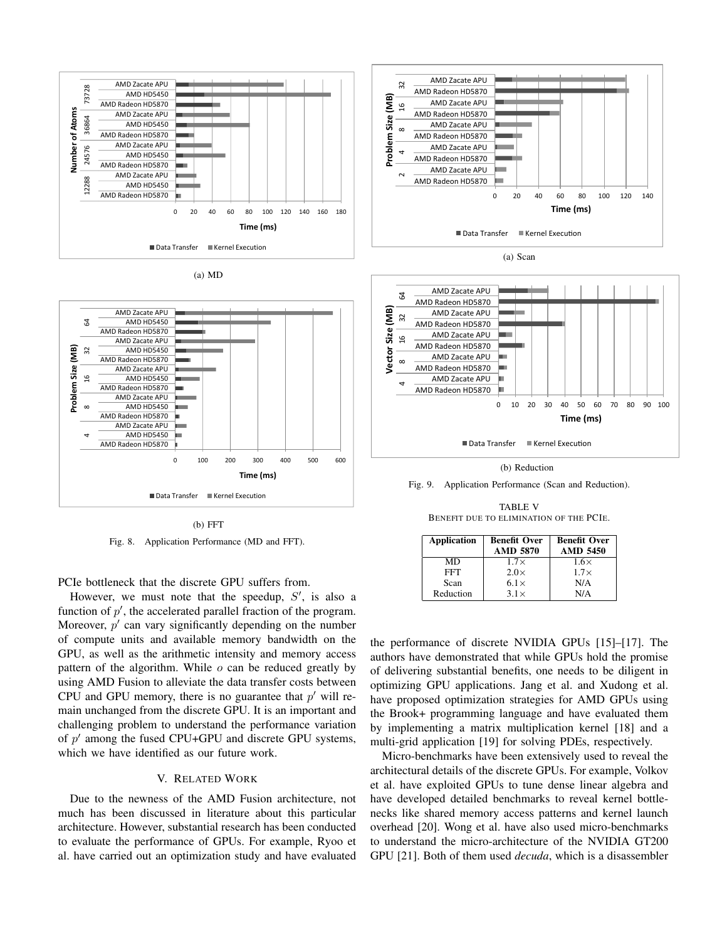

(a) MD



(b) FFT

Fig. 8. Application Performance (MD and FFT).

PCIe bottleneck that the discrete GPU suffers from.

However, we must note that the speedup,  $S'$ , is also a function of  $p'$ , the accelerated parallel fraction of the program. Moreover,  $p'$  can vary significantly depending on the number of compute units and available memory bandwidth on the GPU, as well as the arithmetic intensity and memory access pattern of the algorithm. While  $\sigma$  can be reduced greatly by using AMD Fusion to alleviate the data transfer costs between CPU and GPU memory, there is no guarantee that  $p'$  will remain unchanged from the discrete GPU. It is an important and challenging problem to understand the performance variation of  $p'$  among the fused CPU+GPU and discrete GPU systems, which we have identified as our future work.

#### V. RELATED WORK

Due to the newness of the AMD Fusion architecture, not much has been discussed in literature about this particular architecture. However, substantial research has been conducted to evaluate the performance of GPUs. For example, Ryoo et







(b) Reduction

Fig. 9. Application Performance (Scan and Reduction).

TABLE V BENEFIT DUE TO ELIMINATION OF THE PCIE.

| <b>Application</b> | <b>Benefit Over</b><br><b>AMD 5870</b> | <b>Benefit Over</b><br><b>AMD 5450</b> |
|--------------------|----------------------------------------|----------------------------------------|
| MD                 | $1.7\times$                            | $1.6\times$                            |
| FFT                | $2.0\times$                            | $1.7\times$                            |
| Scan               | $6.1\times$                            | N/A                                    |
| Reduction          | $3.1\times$                            | N/A                                    |

the performance of discrete NVIDIA GPUs [15]–[17]. The authors have demonstrated that while GPUs hold the promise of delivering substantial benefits, one needs to be diligent in optimizing GPU applications. Jang et al. and Xudong et al. have proposed optimization strategies for AMD GPUs using the Brook+ programming language and have evaluated them by implementing a matrix multiplication kernel [18] and a multi-grid application [19] for solving PDEs, respectively.

Micro-benchmarks have been extensively used to reveal the architectural details of the discrete GPUs. For example, Volkov et al. have exploited GPUs to tune dense linear algebra and have developed detailed benchmarks to reveal kernel bottlenecks like shared memory access patterns and kernel launch overhead [20]. Wong et al. have also used micro-benchmarks to understand the micro-architecture of the NVIDIA GT200 GPU [21]. Both of them used *decuda*, which is a disassembler